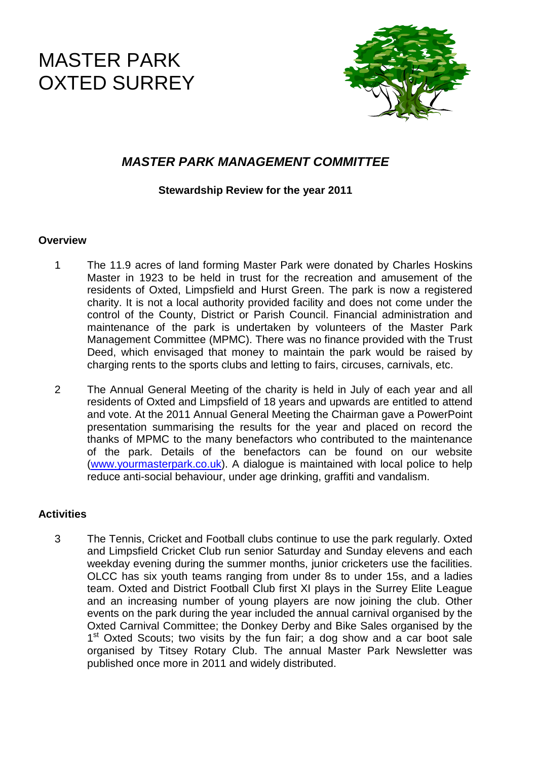# MASTER PARK OXTED SURREY



# **MASTER PARK MANAGEMENT COMMITTEE**

# **Stewardship Review for the year 2011**

#### **Overview**

- 1 The 11.9 acres of land forming Master Park were donated by Charles Hoskins Master in 1923 to be held in trust for the recreation and amusement of the residents of Oxted, Limpsfield and Hurst Green. The park is now a registered charity. It is not a local authority provided facility and does not come under the control of the County, District or Parish Council. Financial administration and maintenance of the park is undertaken by volunteers of the Master Park Management Committee (MPMC). There was no finance provided with the Trust Deed, which envisaged that money to maintain the park would be raised by charging rents to the sports clubs and letting to fairs, circuses, carnivals, etc.
- 2 The Annual General Meeting of the charity is held in July of each year and all residents of Oxted and Limpsfield of 18 years and upwards are entitled to attend and vote. At the 2011 Annual General Meeting the Chairman gave a PowerPoint presentation summarising the results for the year and placed on record the thanks of MPMC to the many benefactors who contributed to the maintenance of the park. Details of the benefactors can be found on our website (www.yourmasterpark.co.uk). A dialogue is maintained with local police to help reduce anti-social behaviour, under age drinking, graffiti and vandalism.

# **Activities**

3 The Tennis, Cricket and Football clubs continue to use the park regularly. Oxted and Limpsfield Cricket Club run senior Saturday and Sunday elevens and each weekday evening during the summer months, junior cricketers use the facilities. OLCC has six youth teams ranging from under 8s to under 15s, and a ladies team. Oxted and District Football Club first XI plays in the Surrey Elite League and an increasing number of young players are now joining the club. Other events on the park during the year included the annual carnival organised by the Oxted Carnival Committee; the Donkey Derby and Bike Sales organised by the 1<sup>st</sup> Oxted Scouts; two visits by the fun fair; a dog show and a car boot sale organised by Titsey Rotary Club. The annual Master Park Newsletter was published once more in 2011 and widely distributed.